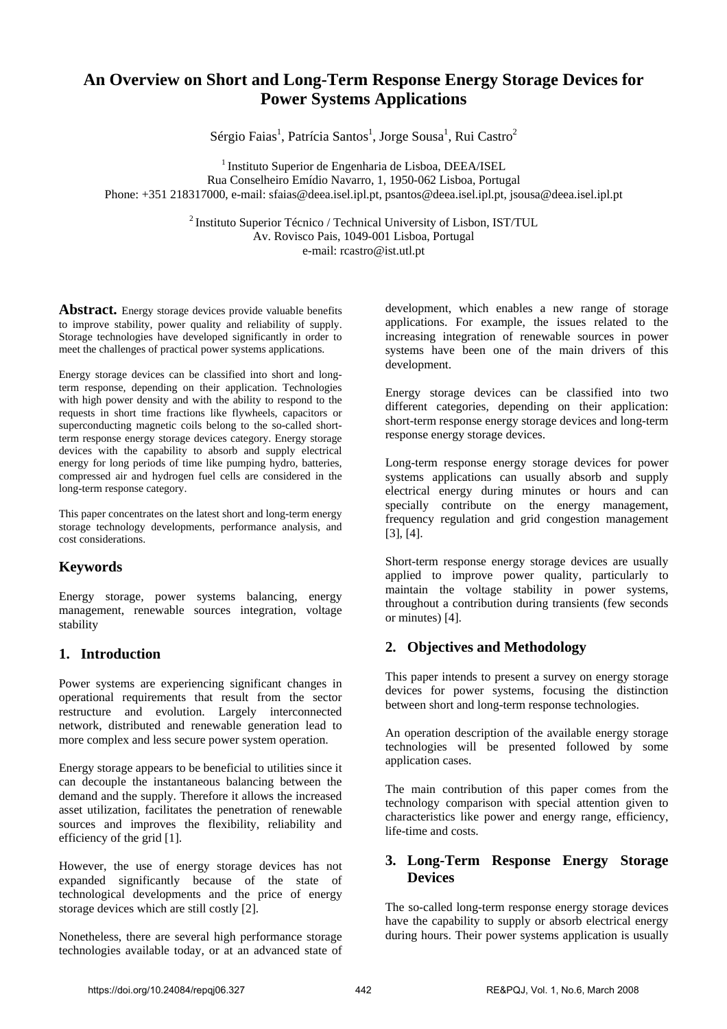# **An Overview on Short and Long-Term Response Energy Storage Devices for Power Systems Applications**

Sérgio Faias<sup>1</sup>, Patrícia Santos<sup>1</sup>, Jorge Sousa<sup>1</sup>, Rui Castro<sup>2</sup>

<sup>1</sup> Instituto Superior de Engenharia de Lisboa, DEEA/ISEL Rua Conselheiro Emídio Navarro, 1, 1950-062 Lisboa, Portugal Phone: +351 218317000, e-mail: sfaias@deea.isel.ipl.pt, psantos@deea.isel.ipl.pt, jsousa@deea.isel.ipl.pt

> 2 Instituto Superior Técnico / Technical University of Lisbon, IST/TUL Av. Rovisco Pais, 1049-001 Lisboa, Portugal e-mail: rcastro@ist.utl.pt

Abstract. Energy storage devices provide valuable benefits to improve stability, power quality and reliability of supply. Storage technologies have developed significantly in order to meet the challenges of practical power systems applications.

Energy storage devices can be classified into short and longterm response, depending on their application. Technologies with high power density and with the ability to respond to the requests in short time fractions like flywheels, capacitors or superconducting magnetic coils belong to the so-called shortterm response energy storage devices category. Energy storage devices with the capability to absorb and supply electrical energy for long periods of time like pumping hydro, batteries, compressed air and hydrogen fuel cells are considered in the long-term response category.

This paper concentrates on the latest short and long-term energy storage technology developments, performance analysis, and cost considerations.

## **Keywords**

Energy storage, power systems balancing, energy management, renewable sources integration, voltage stability

## **1. Introduction**

Power systems are experiencing significant changes in operational requirements that result from the sector restructure and evolution. Largely interconnected network, distributed and renewable generation lead to more complex and less secure power system operation.

Energy storage appears to be beneficial to utilities since it can decouple the instantaneous balancing between the demand and the supply. Therefore it allows the increased asset utilization, facilitates the penetration of renewable sources and improves the flexibility, reliability and efficiency of the grid [1].

However, the use of energy storage devices has not expanded significantly because of the state of technological developments and the price of energy storage devices which are still costly [2].

Nonetheless, there are several high performance storage technologies available today, or at an advanced state of development, which enables a new range of storage applications. For example, the issues related to the increasing integration of renewable sources in power systems have been one of the main drivers of this development.

Energy storage devices can be classified into two different categories, depending on their application: short-term response energy storage devices and long-term response energy storage devices.

Long-term response energy storage devices for power systems applications can usually absorb and supply electrical energy during minutes or hours and can specially contribute on the energy management, frequency regulation and grid congestion management [3], [4].

Short-term response energy storage devices are usually applied to improve power quality, particularly to maintain the voltage stability in power systems, throughout a contribution during transients (few seconds or minutes) [4].

## **2. Objectives and Methodology**

This paper intends to present a survey on energy storage devices for power systems, focusing the distinction between short and long-term response technologies.

An operation description of the available energy storage technologies will be presented followed by some application cases.

The main contribution of this paper comes from the technology comparison with special attention given to characteristics like power and energy range, efficiency, life-time and costs.

## **3. Long-Term Response Energy Storage Devices**

The so-called long-term response energy storage devices have the capability to supply or absorb electrical energy during hours. Their power systems application is usually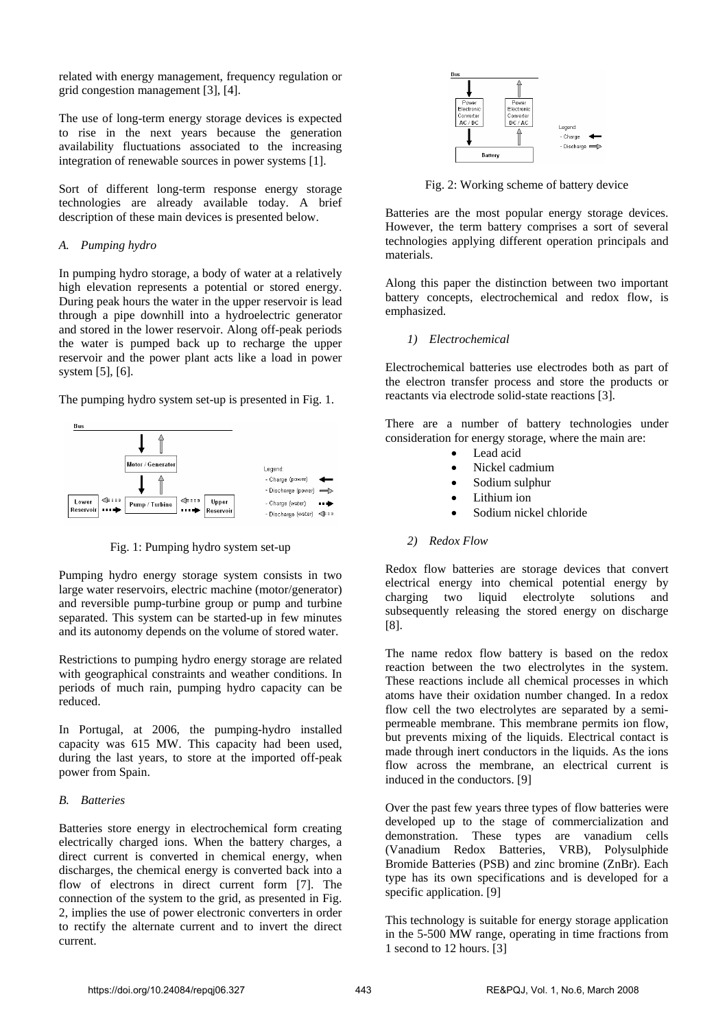related with energy management, frequency regulation or grid congestion management [3], [4].

The use of long-term energy storage devices is expected to rise in the next years because the generation availability fluctuations associated to the increasing integration of renewable sources in power systems [1].

Sort of different long-term response energy storage technologies are already available today. A brief description of these main devices is presented below.

#### *A. Pumping hydro*

In pumping hydro storage, a body of water at a relatively high elevation represents a potential or stored energy. During peak hours the water in the upper reservoir is lead through a pipe downhill into a hydroelectric generator and stored in the lower reservoir. Along off-peak periods the water is pumped back up to recharge the upper reservoir and the power plant acts like a load in power system [5], [6].

The pumping hydro system set-up is presented in Fig. 1.



Fig. 1: Pumping hydro system set-up

Pumping hydro energy storage system consists in two large water reservoirs, electric machine (motor/generator) and reversible pump-turbine group or pump and turbine separated. This system can be started-up in few minutes and its autonomy depends on the volume of stored water.

Restrictions to pumping hydro energy storage are related with geographical constraints and weather conditions. In periods of much rain, pumping hydro capacity can be reduced.

In Portugal, at 2006, the pumping-hydro installed capacity was 615 MW. This capacity had been used, during the last years, to store at the imported off-peak power from Spain.

#### *B. Batteries*

Batteries store energy in electrochemical form creating electrically charged ions. When the battery charges, a direct current is converted in chemical energy, when discharges, the chemical energy is converted back into a flow of electrons in direct current form [7]. The connection of the system to the grid, as presented in Fig. 2, implies the use of power electronic converters in order to rectify the alternate current and to invert the direct current.



Fig. 2: Working scheme of battery device

Batteries are the most popular energy storage devices. However, the term battery comprises a sort of several technologies applying different operation principals and materials.

Along this paper the distinction between two important battery concepts, electrochemical and redox flow, is emphasized.

*1) Electrochemical*

Electrochemical batteries use electrodes both as part of the electron transfer process and store the products or reactants via electrode solid-state reactions [3].

There are a number of battery technologies under consideration for energy storage, where the main are:

- Lead acid
- Nickel cadmium
- Sodium sulphur
- Lithium ion
- Sodium nickel chloride

#### *2) Redox Flow*

Redox flow batteries are storage devices that convert electrical energy into chemical potential energy by charging two liquid electrolyte solutions and subsequently releasing the stored energy on discharge [8].

The name redox flow battery is based on the redox reaction between the two electrolytes in the system. These reactions include all chemical processes in which atoms have their oxidation number changed. In a redox flow cell the two electrolytes are separated by a semipermeable membrane. This membrane permits ion flow, but prevents mixing of the liquids. Electrical contact is made through inert conductors in the liquids. As the ions flow across the membrane, an electrical current is induced in the conductors. [9]

Over the past few years three types of flow batteries were developed up to the stage of commercialization and demonstration. These types are vanadium cells (Vanadium Redox Batteries, VRB), Polysulphide Bromide Batteries (PSB) and zinc bromine (ZnBr). Each type has its own specifications and is developed for a specific application. [9]

This technology is suitable for energy storage application in the 5-500 MW range, operating in time fractions from 1 second to 12 hours. [3]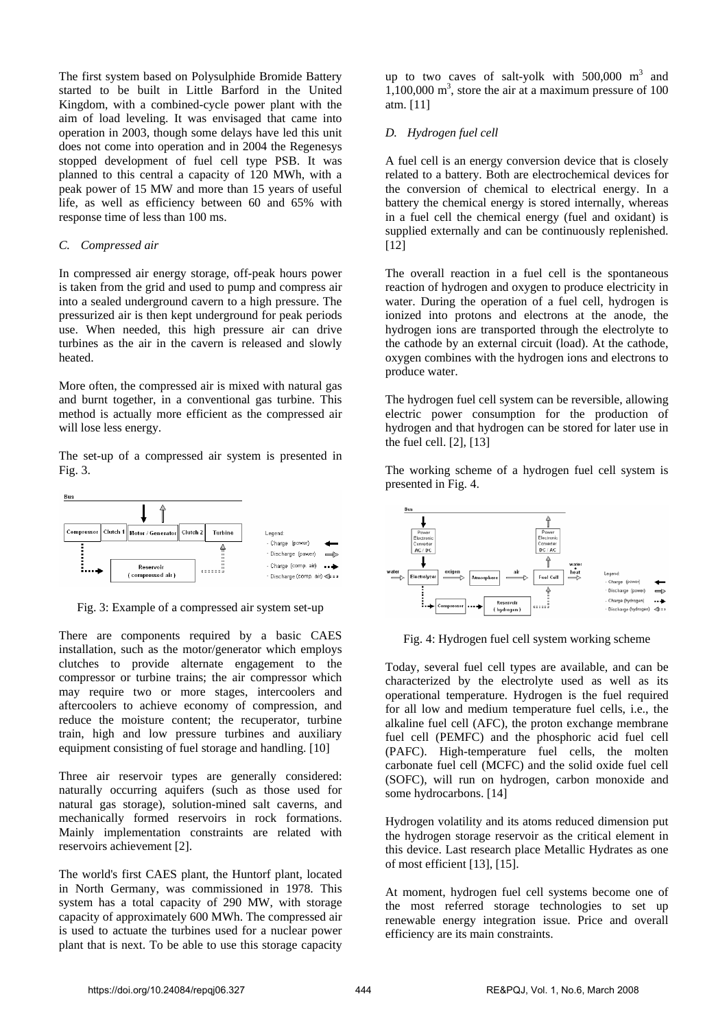The first system based on Polysulphide Bromide Battery started to be built in Little Barford in the United Kingdom, with a combined-cycle power plant with the aim of load leveling. It was envisaged that came into operation in 2003, though some delays have led this unit does not come into operation and in 2004 the Regenesys stopped development of fuel cell type PSB. It was planned to this central a capacity of 120 MWh, with a peak power of 15 MW and more than 15 years of useful life, as well as efficiency between 60 and 65% with response time of less than 100 ms.

#### *C. Compressed air*

In compressed air energy storage, off-peak hours power is taken from the grid and used to pump and compress air into a sealed underground cavern to a high pressure. The pressurized air is then kept underground for peak periods use. When needed, this high pressure air can drive turbines as the air in the cavern is released and slowly heated.

More often, the compressed air is mixed with natural gas and burnt together, in a conventional gas turbine. This method is actually more efficient as the compressed air will lose less energy.

The set-up of a compressed air system is presented in Fig. 3.



Fig. 3: Example of a compressed air system set-up

There are components required by a basic CAES installation, such as the motor/generator which employs clutches to provide alternate engagement to the compressor or turbine trains; the air compressor which may require two or more stages, intercoolers and aftercoolers to achieve economy of compression, and reduce the moisture content; the recuperator, turbine train, high and low pressure turbines and auxiliary equipment consisting of fuel storage and handling. [10]

Three air reservoir types are generally considered: naturally occurring aquifers (such as those used for natural gas storage), solution-mined salt caverns, and mechanically formed reservoirs in rock formations. Mainly implementation constraints are related with reservoirs achievement [2].

The world's first CAES plant, the Huntorf plant, located in North Germany, was commissioned in 1978. This system has a total capacity of 290 MW, with storage capacity of approximately 600 MWh. The compressed air is used to actuate the turbines used for a nuclear power plant that is next. To be able to use this storage capacity

up to two caves of salt-yolk with  $500,000$  m<sup>3</sup> and  $1,100,000$  m<sup>3</sup>, store the air at a maximum pressure of 100 atm. [11]

#### *D. Hydrogen fuel cell*

A fuel cell is an energy conversion device that is closely related to a battery. Both are electrochemical devices for the conversion of chemical to electrical energy. In a battery the chemical energy is stored internally, whereas in a fuel cell the chemical energy (fuel and oxidant) is supplied externally and can be continuously replenished. [12]

The overall reaction in a fuel cell is the spontaneous reaction of hydrogen and oxygen to produce electricity in water. During the operation of a fuel cell, hydrogen is ionized into protons and electrons at the anode, the hydrogen ions are transported through the electrolyte to the cathode by an external circuit (load). At the cathode, oxygen combines with the hydrogen ions and electrons to produce water.

The hydrogen fuel cell system can be reversible, allowing electric power consumption for the production of hydrogen and that hydrogen can be stored for later use in the fuel cell. [2], [13]

The working scheme of a hydrogen fuel cell system is presented in Fig. 4.



Fig. 4: Hydrogen fuel cell system working scheme

Today, several fuel cell types are available, and can be characterized by the electrolyte used as well as its operational temperature. Hydrogen is the fuel required for all low and medium temperature fuel cells, i.e., the alkaline fuel cell (AFC), the proton exchange membrane fuel cell (PEMFC) and the phosphoric acid fuel cell (PAFC). High-temperature fuel cells, the molten carbonate fuel cell (MCFC) and the solid oxide fuel cell (SOFC), will run on hydrogen, carbon monoxide and some hydrocarbons. [14]

Hydrogen volatility and its atoms reduced dimension put the hydrogen storage reservoir as the critical element in this device. Last research place Metallic Hydrates as one of most efficient [13], [15].

At moment, hydrogen fuel cell systems become one of the most referred storage technologies to set up renewable energy integration issue. Price and overall efficiency are its main constraints.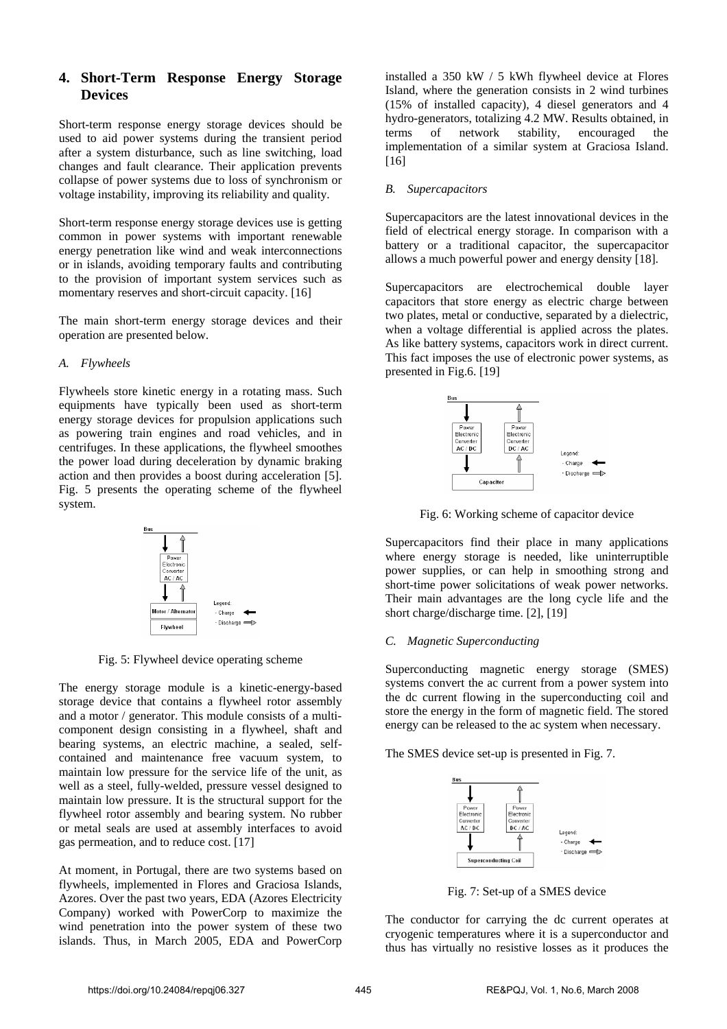### **4. Short-Term Response Energy Storage Devices**

Short-term response energy storage devices should be used to aid power systems during the transient period after a system disturbance, such as line switching, load changes and fault clearance. Their application prevents collapse of power systems due to loss of synchronism or voltage instability, improving its reliability and quality.

Short-term response energy storage devices use is getting common in power systems with important renewable energy penetration like wind and weak interconnections or in islands, avoiding temporary faults and contributing to the provision of important system services such as momentary reserves and short-circuit capacity. [16]

The main short-term energy storage devices and their operation are presented below.

#### *A. Flywheels*

Flywheels store kinetic energy in a rotating mass. Such equipments have typically been used as short-term energy storage devices for propulsion applications such as powering train engines and road vehicles, and in centrifuges. In these applications, the flywheel smoothes the power load during deceleration by dynamic braking action and then provides a boost during acceleration [5]. Fig. 5 presents the operating scheme of the flywheel system.



Fig. 5: Flywheel device operating scheme

The energy storage module is a kinetic-energy-based storage device that contains a flywheel rotor assembly and a motor / generator. This module consists of a multicomponent design consisting in a flywheel, shaft and bearing systems, an electric machine, a sealed, selfcontained and maintenance free vacuum system, to maintain low pressure for the service life of the unit, as well as a steel, fully-welded, pressure vessel designed to maintain low pressure. It is the structural support for the flywheel rotor assembly and bearing system. No rubber or metal seals are used at assembly interfaces to avoid gas permeation, and to reduce cost. [17]

At moment, in Portugal, there are two systems based on flywheels, implemented in Flores and Graciosa Islands, Azores. Over the past two years, EDA (Azores Electricity Company) worked with PowerCorp to maximize the wind penetration into the power system of these two islands. Thus, in March 2005, EDA and PowerCorp

installed a 350 kW / 5 kWh flywheel device at Flores Island, where the generation consists in 2 wind turbines (15% of installed capacity), 4 diesel generators and 4 hydro-generators, totalizing 4.2 MW. Results obtained, in terms of network stability, encouraged the implementation of a similar system at Graciosa Island. [16]

#### *B. Supercapacitors*

Supercapacitors are the latest innovational devices in the field of electrical energy storage. In comparison with a battery or a traditional capacitor, the supercapacitor allows a much powerful power and energy density [18].

Supercapacitors are electrochemical double layer capacitors that store energy as electric charge between two plates, metal or conductive, separated by a dielectric, when a voltage differential is applied across the plates. As like battery systems, capacitors work in direct current. This fact imposes the use of electronic power systems, as presented in Fig.6. [19]



Fig. 6: Working scheme of capacitor device

Supercapacitors find their place in many applications where energy storage is needed, like uninterruptible power supplies, or can help in smoothing strong and short-time power solicitations of weak power networks. Their main advantages are the long cycle life and the short charge/discharge time. [2], [19]

#### *C. Magnetic Superconducting*

Superconducting magnetic energy storage (SMES) systems convert the ac current from a power system into the dc current flowing in the superconducting coil and store the energy in the form of magnetic field. The stored energy can be released to the ac system when necessary.

The SMES device set-up is presented in Fig. 7.



Fig. 7: Set-up of a SMES device

The conductor for carrying the dc current operates at cryogenic temperatures where it is a superconductor and thus has virtually no resistive losses as it produces the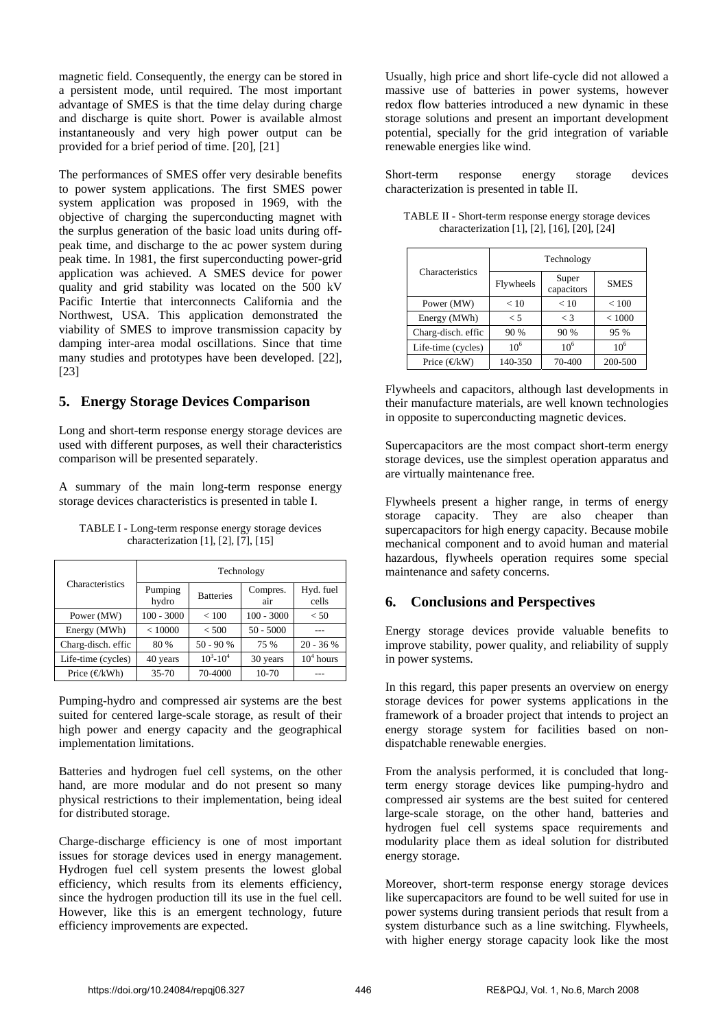magnetic field. Consequently, the energy can be stored in a persistent mode, until required. The most important advantage of SMES is that the time delay during charge and discharge is quite short. Power is available almost instantaneously and very high power output can be provided for a brief period of time. [20], [21]

The performances of SMES offer very desirable benefits to power system applications. The first SMES power system application was proposed in 1969, with the objective of charging the superconducting magnet with the surplus generation of the basic load units during offpeak time, and discharge to the ac power system during peak time. In 1981, the first superconducting power-grid application was achieved. A SMES device for power quality and grid stability was located on the 500 kV Pacific Intertie that interconnects California and the Northwest, USA. This application demonstrated the viability of SMES to improve transmission capacity by damping inter-area modal oscillations. Since that time many studies and prototypes have been developed. [22], [23]

#### **5. Energy Storage Devices Comparison**

Long and short-term response energy storage devices are used with different purposes, as well their characteristics comparison will be presented separately.

A summary of the main long-term response energy storage devices characteristics is presented in table I.

| TABLE I - Long-term response energy storage devices |  |
|-----------------------------------------------------|--|
| characterization [1], [2], [7], [15]                |  |

|                                       | Technology       |                  |                 |                    |
|---------------------------------------|------------------|------------------|-----------------|--------------------|
| Characteristics                       | Pumping<br>hydro | <b>Batteries</b> | Compres.<br>air | Hyd. fuel<br>cells |
| Power (MW)                            | $100 - 3000$     | < 100            | $100 - 3000$    | < 50               |
| Energy (MWh)                          | < 10000          | < 500            | $50 - 5000$     |                    |
| Charg-disch. effic                    | 80 %             | $50 - 90 %$      | 75 %            | $20 - 36 %$        |
| Life-time (cycles)                    | 40 years         | $10^3 - 10^4$    | 30 years        | $104$ hours        |
| Price $(\text{\ensuremath{\in}} kWh)$ | $35 - 70$        | 70-4000          | 10-70           |                    |

Pumping-hydro and compressed air systems are the best suited for centered large-scale storage, as result of their high power and energy capacity and the geographical implementation limitations.

Batteries and hydrogen fuel cell systems, on the other hand, are more modular and do not present so many physical restrictions to their implementation, being ideal for distributed storage.

Charge-discharge efficiency is one of most important issues for storage devices used in energy management. Hydrogen fuel cell system presents the lowest global efficiency, which results from its elements efficiency, since the hydrogen production till its use in the fuel cell. However, like this is an emergent technology, future efficiency improvements are expected.

Usually, high price and short life-cycle did not allowed a massive use of batteries in power systems, however redox flow batteries introduced a new dynamic in these storage solutions and present an important development potential, specially for the grid integration of variable renewable energies like wind.

Short-term response energy storage devices characterization is presented in table II.

| TABLE II - Short-term response energy storage devices |
|-------------------------------------------------------|
| characterization [1], [2], [16], [20], [24]           |

|                        | Technology |                     |                 |  |
|------------------------|------------|---------------------|-----------------|--|
| Characteristics        | Flywheels  | Super<br>capacitors | <b>SMES</b>     |  |
| Power (MW)             | < 10       | < 10                | ${}_{< 100}$    |  |
| Energy (MWh)           | $\leq 5$   | $\lt$ 3             | < 1000          |  |
| Charg-disch. effic     | 90 %       | 90 %                | 95 %            |  |
| Life-time (cycles)     | $10^{6}$   | $10^{6}$            | 10 <sup>6</sup> |  |
| Price $(\text{E}^k$ W) | 140-350    | 70-400              | 200-500         |  |

Flywheels and capacitors, although last developments in their manufacture materials, are well known technologies in opposite to superconducting magnetic devices.

Supercapacitors are the most compact short-term energy storage devices, use the simplest operation apparatus and are virtually maintenance free.

Flywheels present a higher range, in terms of energy storage capacity. They are also cheaper than supercapacitors for high energy capacity. Because mobile mechanical component and to avoid human and material hazardous, flywheels operation requires some special maintenance and safety concerns.

#### **6. Conclusions and Perspectives**

Energy storage devices provide valuable benefits to improve stability, power quality, and reliability of supply in power systems.

In this regard, this paper presents an overview on energy storage devices for power systems applications in the framework of a broader project that intends to project an energy storage system for facilities based on nondispatchable renewable energies.

From the analysis performed, it is concluded that longterm energy storage devices like pumping-hydro and compressed air systems are the best suited for centered large-scale storage, on the other hand, batteries and hydrogen fuel cell systems space requirements and modularity place them as ideal solution for distributed energy storage.

Moreover, short-term response energy storage devices like supercapacitors are found to be well suited for use in power systems during transient periods that result from a system disturbance such as a line switching. Flywheels, with higher energy storage capacity look like the most